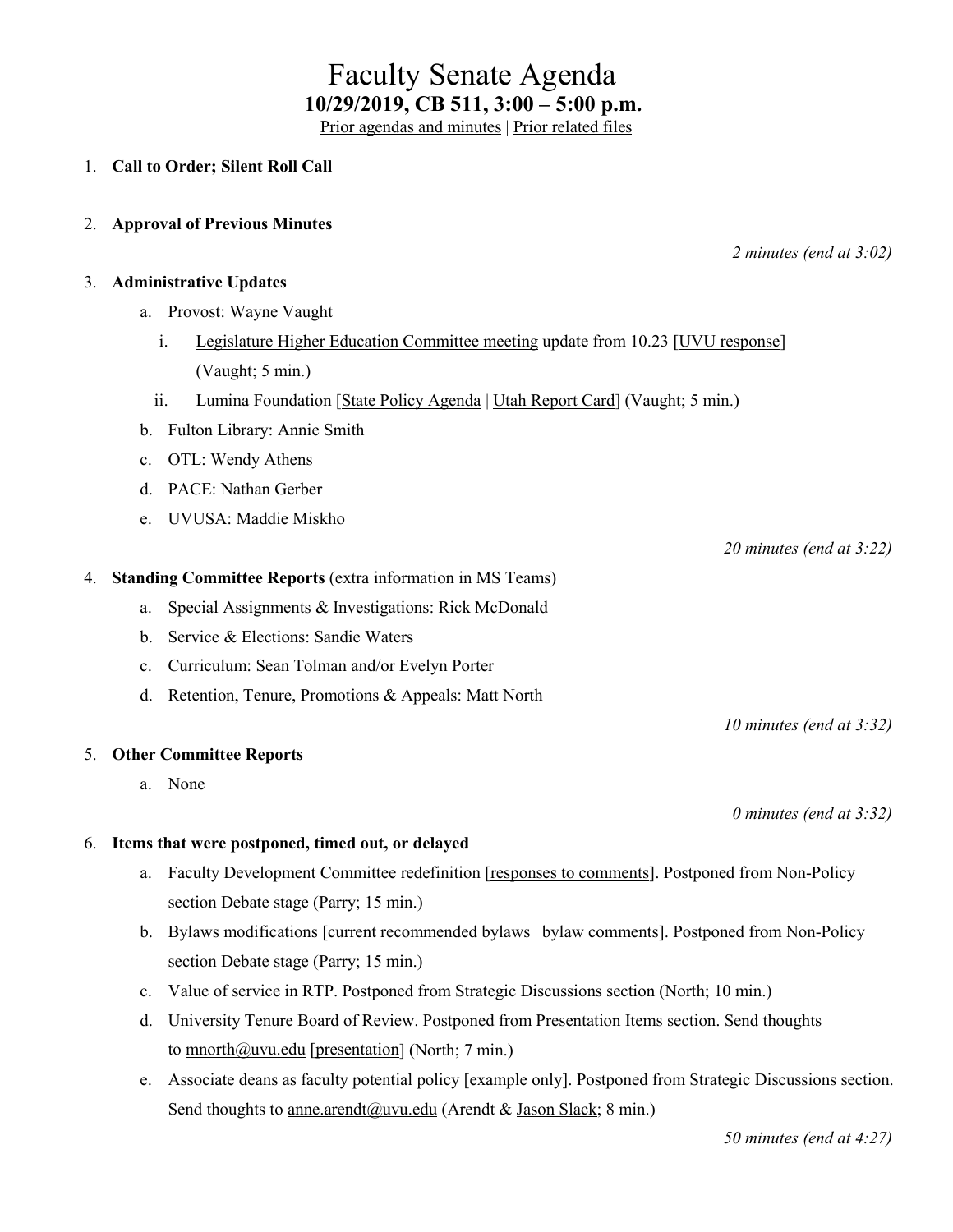# Faculty Senate Agenda **10/29/2019, CB 511, 3:00 – 5:00 p.m.**

[Prior agendas and minutes](https://www.uvu.edu/facsenate/minutes.html) | [Prior related files](https://drive.google.com/drive/folders/1Ok1EEKR4nqPNa_8uRWsFnCddv-v-buNh?usp=sharing)

### 1. **Call to Order; Silent Roll Call**

2. **Approval of Previous Minutes**

#### 3. **Administrative Updates**

- a. Provost: Wayne Vaught
	- i. [Legislature Higher Education Committee meeting](https://le.utah.gov/asp/interim/Commit.asp?Year=2019&Com=SPEHEP) update from 10.23 [\[UVU response\]](https://drive.google.com/open?id=1US2S7mo6-FpHBZzIEpJXep43sibqd2Y7) (Vaught; 5 min.)
	- ii. Lumina Foundation [\[State Policy Agenda](https://drive.google.com/open?id=1M2S-IS_qc--_IDz-nnvLVyNaLHrjQ6Up) | [Utah Report Card\]](https://drive.google.com/open?id=1WqXdWBhIMLhkQaBxQOb8tYbsHcfppzNo) (Vaught; 5 min.)
- b. Fulton Library: Annie Smith
- c. OTL: Wendy Athens
- d. PACE: Nathan Gerber
- e. UVUSA: Maddie Miskho

*20 minutes (end at 3:22)*

#### 4. **Standing Committee Reports** (extra information in MS Teams)

- a. Special Assignments & Investigations: Rick McDonald
- b. Service & Elections: Sandie Waters
- c. Curriculum: Sean Tolman and/or Evelyn Porter
- d. Retention, Tenure, Promotions & Appeals: Matt North

#### 5. **Other Committee Reports**

a. None

#### 6. **Items that were postponed, timed out, or delayed**

- a. Faculty Development Committee redefinition [\[responses to comments\]](https://docs.google.com/document/d/1HMjp0AJg7GoYY5v4B_dTpu79_AttmuQOqdk7itGIOeE/edit?usp=sharing). Postponed from Non-Policy section Debate stage (Parry; 15 min.)
- b. Bylaws modifications [\[current recommended](https://drive.google.com/file/d/17qAJTv5qJKT92hb_KUx-EVcHlwbzMPTa/view?usp=sharing) bylaws | bylaw [comments\]](https://docs.google.com/document/d/1HMjp0AJg7GoYY5v4B_dTpu79_AttmuQOqdk7itGIOeE/edit?usp=sharing). Postponed from Non-Policy section Debate stage (Parry; 15 min.)
- c. Value of service in RTP. Postponed from Strategic Discussions section (North; 10 min.)
- d. University Tenure Board of Review. Postponed from Presentation Items section. Send thoughts to [mnorth@uvu.edu](mailto:mnorth@uvu.edu) [\[presentation\]](https://drive.google.com/open?id=1EG_gPo4GXNWQeWgYZpUQ4E7KTocTHVG0) (North; 7 min.)
- e. Associate deans as faculty potential policy [\[example only\]](https://drive.google.com/open?id=1ENxavUxhokah9hHwJKYfvXiI3ciP5Irr). Postponed from Strategic Discussions section. Send thoughts to [anne.arendt@uvu.edu](mailto:anne.arendt@uvu.edu) (Arendt & [Jason Slack;](https://www.uvu.edu/directory/employee/?id=MExyb1Q4MGxENDM1cUJjMndvdFJnQT09) 8 min.)

*50 minutes (end at 4:27)*

*2 minutes (end at 3:02)*

*0 minutes (end at 3:32)*

*10 minutes (end at 3:32)*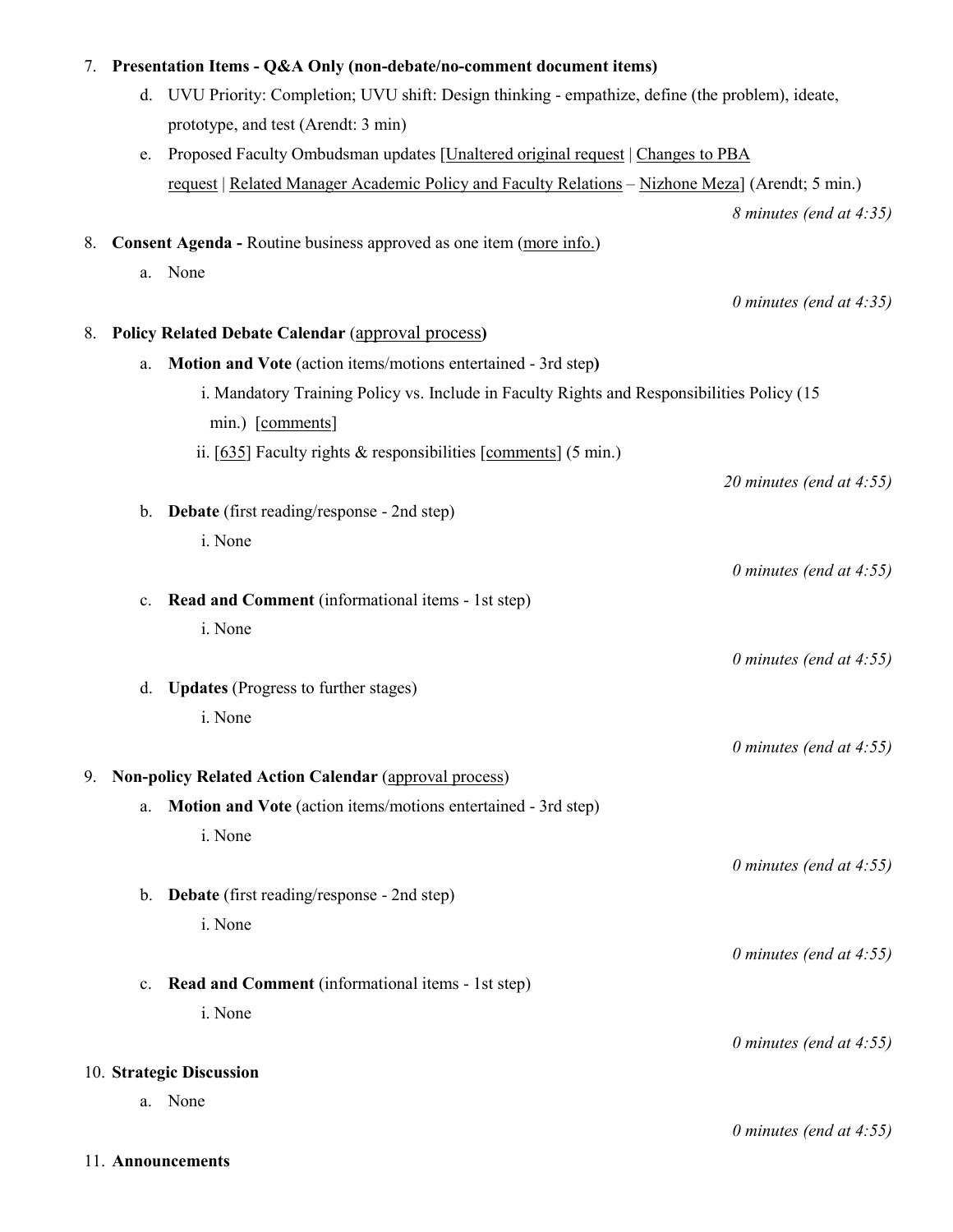| 7. |                | Presentation Items - Q&A Only (non-debate/no-comment document items)                                    |
|----|----------------|---------------------------------------------------------------------------------------------------------|
|    | d.             | UVU Priority: Completion; UVU shift: Design thinking - empathize, define (the problem), ideate,         |
|    |                | prototype, and test (Arendt: 3 min)                                                                     |
|    | e.             | Proposed Faculty Ombudsman updates [Unaltered original request   Changes to PBA                         |
|    |                | <u>request</u>   Related Manager Academic Policy and Faculty Relations – Nizhone Meza] (Arendt; 5 min.) |
|    |                | 8 minutes (end at 4:35)                                                                                 |
| 8. |                | Consent Agenda - Routine business approved as one item (more info.)                                     |
|    | a.             | None                                                                                                    |
|    |                | 0 minutes (end at $4:35$ )                                                                              |
| 8. |                | <b>Policy Related Debate Calendar (approval process)</b>                                                |
|    | a.             | Motion and Vote (action items/motions entertained - 3rd step)                                           |
|    |                | i. Mandatory Training Policy vs. Include in Faculty Rights and Responsibilities Policy (15              |
|    |                | min.) [comments]                                                                                        |
|    |                | ii. [635] Faculty rights & responsibilities [comments] (5 min.)                                         |
|    |                | 20 minutes (end at $4:55$ )                                                                             |
|    | $\mathbf{b}$ . | <b>Debate</b> (first reading/response - 2nd step)                                                       |
|    |                | i. None                                                                                                 |
|    |                | 0 minutes (end at $4:55$ )                                                                              |
|    | $\mathbf{c}$ . | Read and Comment (informational items - 1st step)                                                       |
|    |                | i. None                                                                                                 |
|    |                | 0 minutes (end at $4:55$ )                                                                              |
|    | d.             | <b>Updates</b> (Progress to further stages)                                                             |
|    |                | i. None                                                                                                 |
|    |                | 0 minutes (end at $4:55$ )                                                                              |
| 9. |                | <b>Non-policy Related Action Calendar (approval process)</b>                                            |
|    | a.             | Motion and Vote (action items/motions entertained - 3rd step)                                           |
|    |                | i. None                                                                                                 |
|    |                | 0 minutes (end at $4:55$ )                                                                              |
|    | $\mathbf{b}$ . | <b>Debate</b> (first reading/response - 2nd step)                                                       |
|    |                | i. None                                                                                                 |
|    |                | 0 minutes (end at $4:55$ )                                                                              |
|    | c.             | Read and Comment (informational items - 1st step)<br>i. None                                            |
|    |                |                                                                                                         |
|    |                | 0 minutes (end at $4:55$ )                                                                              |
|    |                | 10. Strategic Discussion<br>a. None                                                                     |
|    |                | 0 minutes (end at $4:55$ )                                                                              |
|    |                | 11. Announcements                                                                                       |
|    |                |                                                                                                         |